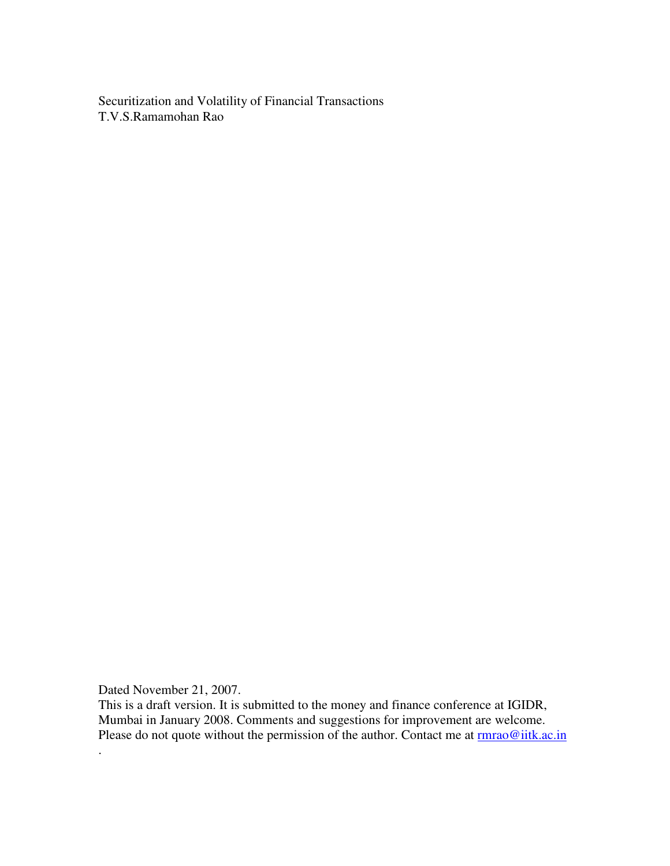Securitization and Volatility of Financial Transactions T.V.S.Ramamohan Rao

Dated November 21, 2007.

.

This is a draft version. It is submitted to the money and finance conference at IGIDR, Mumbai in January 2008. Comments and suggestions for improvement are welcome. Please do not quote without the permission of the author. Contact me at  $\frac{r m r a o @$ iitk.ac.in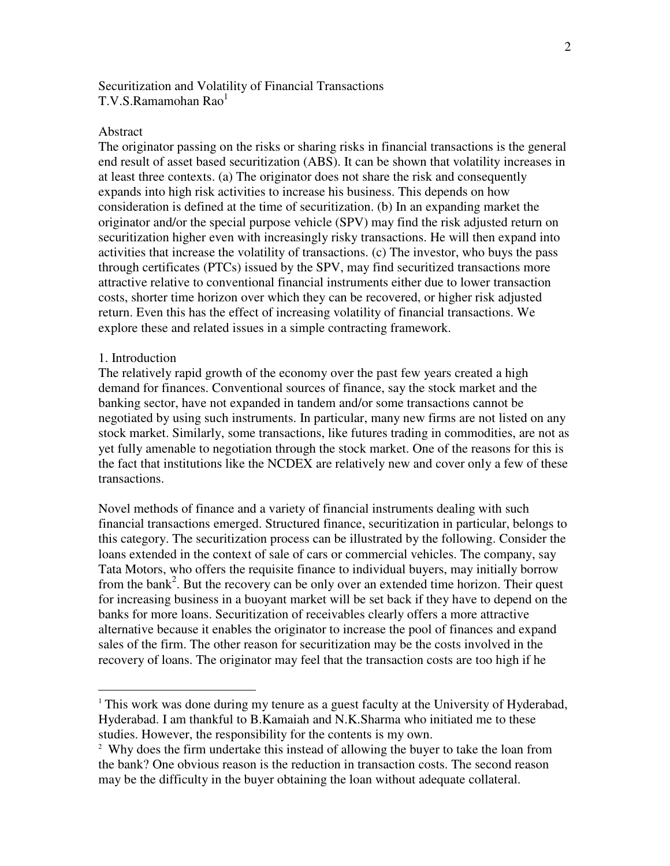# Securitization and Volatility of Financial Transactions  $T.V.S.R$ amamohan Rao $<sup>1</sup>$ </sup>

#### Abstract

The originator passing on the risks or sharing risks in financial transactions is the general end result of asset based securitization (ABS). It can be shown that volatility increases in at least three contexts. (a) The originator does not share the risk and consequently expands into high risk activities to increase his business. This depends on how consideration is defined at the time of securitization. (b) In an expanding market the originator and/or the special purpose vehicle (SPV) may find the risk adjusted return on securitization higher even with increasingly risky transactions. He will then expand into activities that increase the volatility of transactions. (c) The investor, who buys the pass through certificates (PTCs) issued by the SPV, may find securitized transactions more attractive relative to conventional financial instruments either due to lower transaction costs, shorter time horizon over which they can be recovered, or higher risk adjusted return. Even this has the effect of increasing volatility of financial transactions. We explore these and related issues in a simple contracting framework.

### 1. Introduction

 $\overline{a}$ 

The relatively rapid growth of the economy over the past few years created a high demand for finances. Conventional sources of finance, say the stock market and the banking sector, have not expanded in tandem and/or some transactions cannot be negotiated by using such instruments. In particular, many new firms are not listed on any stock market. Similarly, some transactions, like futures trading in commodities, are not as yet fully amenable to negotiation through the stock market. One of the reasons for this is the fact that institutions like the NCDEX are relatively new and cover only a few of these transactions.

Novel methods of finance and a variety of financial instruments dealing with such financial transactions emerged. Structured finance, securitization in particular, belongs to this category. The securitization process can be illustrated by the following. Consider the loans extended in the context of sale of cars or commercial vehicles. The company, say Tata Motors, who offers the requisite finance to individual buyers, may initially borrow from the bank<sup>2</sup>. But the recovery can be only over an extended time horizon. Their quest for increasing business in a buoyant market will be set back if they have to depend on the banks for more loans. Securitization of receivables clearly offers a more attractive alternative because it enables the originator to increase the pool of finances and expand sales of the firm. The other reason for securitization may be the costs involved in the recovery of loans. The originator may feel that the transaction costs are too high if he

<sup>&</sup>lt;sup>1</sup> This work was done during my tenure as a guest faculty at the University of Hyderabad, Hyderabad. I am thankful to B.Kamaiah and N.K.Sharma who initiated me to these studies. However, the responsibility for the contents is my own.

<sup>&</sup>lt;sup>2</sup> Why does the firm undertake this instead of allowing the buyer to take the loan from the bank? One obvious reason is the reduction in transaction costs. The second reason may be the difficulty in the buyer obtaining the loan without adequate collateral.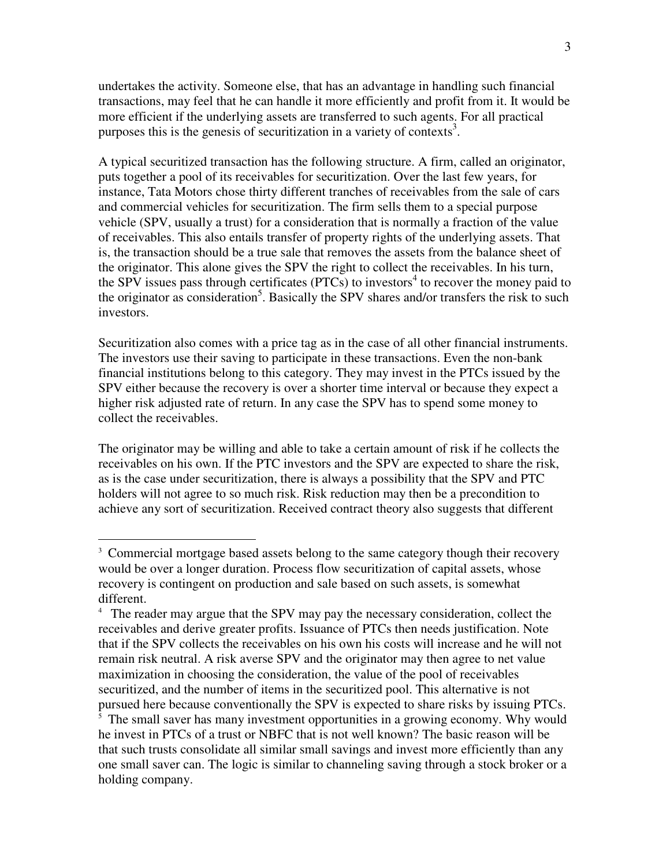undertakes the activity. Someone else, that has an advantage in handling such financial transactions, may feel that he can handle it more efficiently and profit from it. It would be more efficient if the underlying assets are transferred to such agents. For all practical purposes this is the genesis of securitization in a variety of contexts<sup>3</sup>.

A typical securitized transaction has the following structure. A firm, called an originator, puts together a pool of its receivables for securitization. Over the last few years, for instance, Tata Motors chose thirty different tranches of receivables from the sale of cars and commercial vehicles for securitization. The firm sells them to a special purpose vehicle (SPV, usually a trust) for a consideration that is normally a fraction of the value of receivables. This also entails transfer of property rights of the underlying assets. That is, the transaction should be a true sale that removes the assets from the balance sheet of the originator. This alone gives the SPV the right to collect the receivables. In his turn, the SPV issues pass through certificates ( $PTCs$ ) to investors<sup>4</sup> to recover the money paid to the originator as consideration<sup>5</sup>. Basically the SPV shares and/or transfers the risk to such investors.

Securitization also comes with a price tag as in the case of all other financial instruments. The investors use their saving to participate in these transactions. Even the non-bank financial institutions belong to this category. They may invest in the PTCs issued by the SPV either because the recovery is over a shorter time interval or because they expect a higher risk adjusted rate of return. In any case the SPV has to spend some money to collect the receivables.

The originator may be willing and able to take a certain amount of risk if he collects the receivables on his own. If the PTC investors and the SPV are expected to share the risk, as is the case under securitization, there is always a possibility that the SPV and PTC holders will not agree to so much risk. Risk reduction may then be a precondition to achieve any sort of securitization. Received contract theory also suggests that different

 $\overline{a}$ 

<sup>&</sup>lt;sup>3</sup> Commercial mortgage based assets belong to the same category though their recovery would be over a longer duration. Process flow securitization of capital assets, whose recovery is contingent on production and sale based on such assets, is somewhat different.

<sup>&</sup>lt;sup>4</sup> The reader may argue that the SPV may pay the necessary consideration, collect the receivables and derive greater profits. Issuance of PTCs then needs justification. Note that if the SPV collects the receivables on his own his costs will increase and he will not remain risk neutral. A risk averse SPV and the originator may then agree to net value maximization in choosing the consideration, the value of the pool of receivables securitized, and the number of items in the securitized pool. This alternative is not pursued here because conventionally the SPV is expected to share risks by issuing PTCs. <sup>5</sup> The small saver has many investment opportunities in a growing economy. Why would he invest in PTCs of a trust or NBFC that is not well known? The basic reason will be that such trusts consolidate all similar small savings and invest more efficiently than any one small saver can. The logic is similar to channeling saving through a stock broker or a holding company.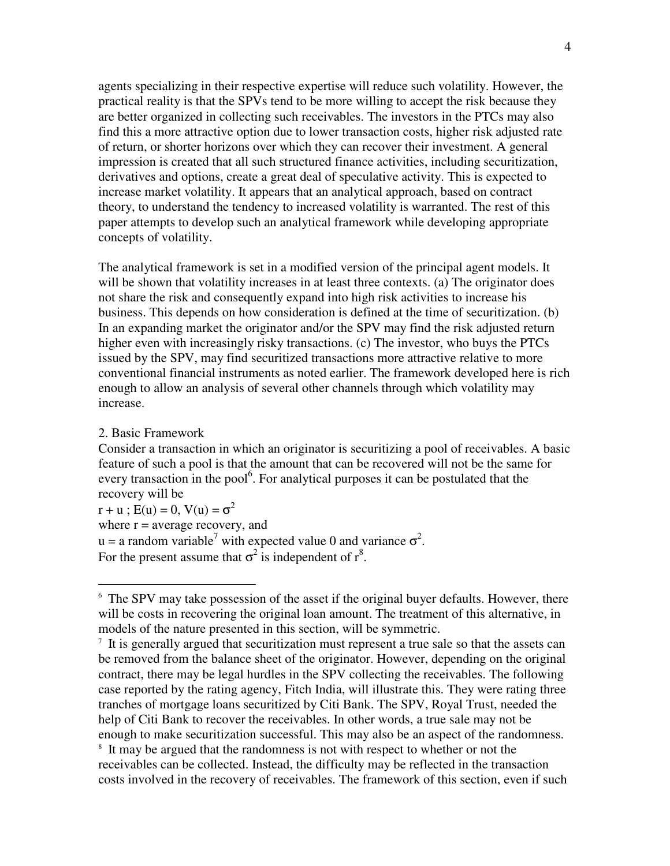agents specializing in their respective expertise will reduce such volatility. However, the practical reality is that the SPVs tend to be more willing to accept the risk because they are better organized in collecting such receivables. The investors in the PTCs may also find this a more attractive option due to lower transaction costs, higher risk adjusted rate of return, or shorter horizons over which they can recover their investment. A general impression is created that all such structured finance activities, including securitization, derivatives and options, create a great deal of speculative activity. This is expected to increase market volatility. It appears that an analytical approach, based on contract theory, to understand the tendency to increased volatility is warranted. The rest of this paper attempts to develop such an analytical framework while developing appropriate concepts of volatility.

The analytical framework is set in a modified version of the principal agent models. It will be shown that volatility increases in at least three contexts. (a) The originator does not share the risk and consequently expand into high risk activities to increase his business. This depends on how consideration is defined at the time of securitization. (b) In an expanding market the originator and/or the SPV may find the risk adjusted return higher even with increasingly risky transactions. (c) The investor, who buys the PTCs issued by the SPV, may find securitized transactions more attractive relative to more conventional financial instruments as noted earlier. The framework developed here is rich enough to allow an analysis of several other channels through which volatility may increase.

#### 2. Basic Framework

Consider a transaction in which an originator is securitizing a pool of receivables. A basic feature of such a pool is that the amount that can be recovered will not be the same for every transaction in the pool $<sup>6</sup>$ . For analytical purposes it can be postulated that the</sup> recovery will be

 $r + u$ ;  $E(u) = 0$ ,  $V(u) = \sigma^2$ 

 $\overline{a}$ 

where  $r =$  average recovery, and

u = a random variable<sup>7</sup> with expected value 0 and variance  $\sigma^2$ . For the present assume that  $\sigma^2$  is independent of  $r^8$ .

<sup>6</sup> The SPV may take possession of the asset if the original buyer defaults. However, there will be costs in recovering the original loan amount. The treatment of this alternative, in models of the nature presented in this section, will be symmetric.

<sup>&</sup>lt;sup>7</sup> It is generally argued that securitization must represent a true sale so that the assets can be removed from the balance sheet of the originator. However, depending on the original contract, there may be legal hurdles in the SPV collecting the receivables. The following case reported by the rating agency, Fitch India, will illustrate this. They were rating three tranches of mortgage loans securitized by Citi Bank. The SPV, Royal Trust, needed the help of Citi Bank to recover the receivables. In other words, a true sale may not be enough to make securitization successful. This may also be an aspect of the randomness. <sup>8</sup> It may be argued that the randomness is not with respect to whether or not the receivables can be collected. Instead, the difficulty may be reflected in the transaction costs involved in the recovery of receivables. The framework of this section, even if such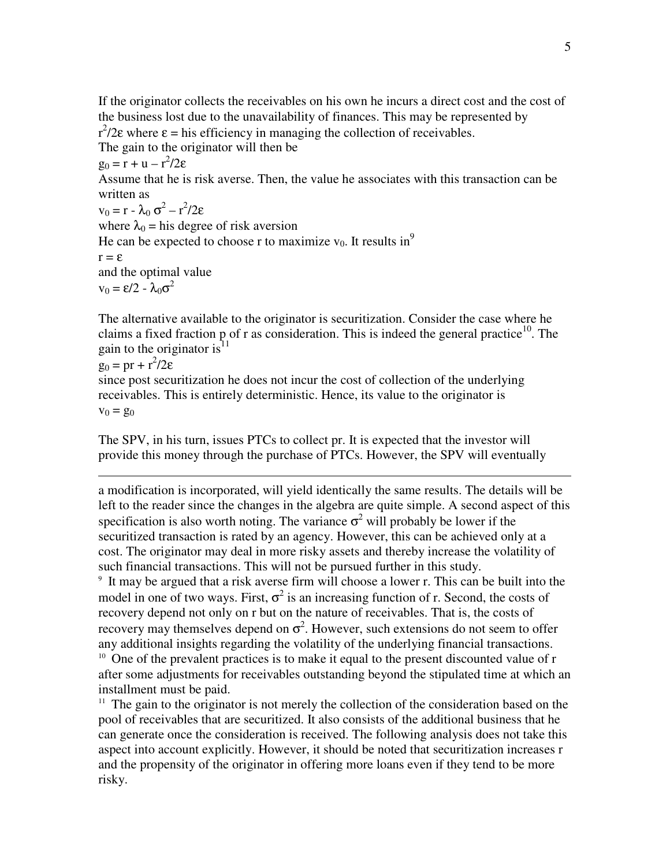If the originator collects the receivables on his own he incurs a direct cost and the cost of the business lost due to the unavailability of finances. This may be represented by  $r^2/2\varepsilon$  where  $\varepsilon$  = his efficiency in managing the collection of receivables. The gain to the originator will then be  $g_0 = r + u - r^2/2\varepsilon$ Assume that he is risk averse. Then, the value he associates with this transaction can be written as  $v_0 = r - \lambda_0 \sigma^2 - r^2/2\varepsilon$ where  $\lambda_0$  = his degree of risk aversion He can be expected to choose r to maximize  $v_0$ . It results in<sup>9</sup>  $r = \varepsilon$ and the optimal value  $v_0 = \varepsilon/2 - \lambda_0 \sigma^2$ 

The alternative available to the originator is securitization. Consider the case where he claims a fixed fraction  $p$  of  $r$  as consideration. This is indeed the general practice<sup>10</sup>. The gain to the originator is<sup>11</sup>

 $g_0 = pr + r^2/2\varepsilon$ 

 $\overline{a}$ 

since post securitization he does not incur the cost of collection of the underlying receivables. This is entirely deterministic. Hence, its value to the originator is  $v_0 = g_0$ 

The SPV, in his turn, issues PTCs to collect pr. It is expected that the investor will provide this money through the purchase of PTCs. However, the SPV will eventually

a modification is incorporated, will yield identically the same results. The details will be left to the reader since the changes in the algebra are quite simple. A second aspect of this specification is also worth noting. The variance  $\sigma^2$  will probably be lower if the securitized transaction is rated by an agency. However, this can be achieved only at a cost. The originator may deal in more risky assets and thereby increase the volatility of such financial transactions. This will not be pursued further in this study.

9 It may be argued that a risk averse firm will choose a lower r. This can be built into the model in one of two ways. First,  $\sigma^2$  is an increasing function of r. Second, the costs of recovery depend not only on r but on the nature of receivables. That is, the costs of recovery may themselves depend on  $\sigma^2$ . However, such extensions do not seem to offer any additional insights regarding the volatility of the underlying financial transactions.  $10$  One of the prevalent practices is to make it equal to the present discounted value of r

after some adjustments for receivables outstanding beyond the stipulated time at which an installment must be paid.

 $11$  The gain to the originator is not merely the collection of the consideration based on the pool of receivables that are securitized. It also consists of the additional business that he can generate once the consideration is received. The following analysis does not take this aspect into account explicitly. However, it should be noted that securitization increases r and the propensity of the originator in offering more loans even if they tend to be more risky.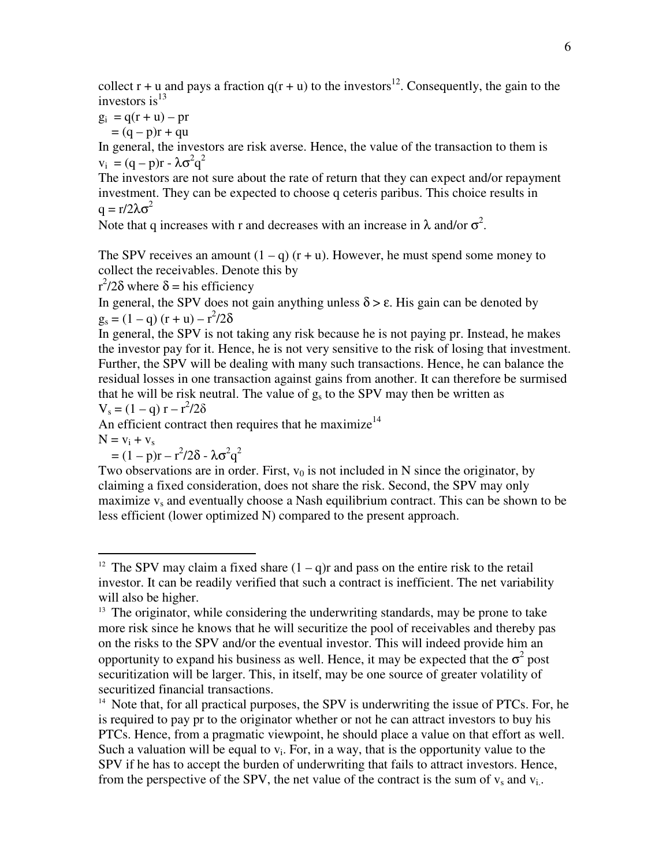collect r + u and pays a fraction  $q(r + u)$  to the investors<sup>12</sup>. Consequently, the gain to the investors is  $13$ 

 $g_i = q(r + u) - pr$ 

 $=(q-p)r + qu$ 

In general, the investors are risk averse. Hence, the value of the transaction to them is  $v_i = (q - p)r - \lambda \sigma^2 q^2$ 

The investors are not sure about the rate of return that they can expect and/or repayment investment. They can be expected to choose q ceteris paribus. This choice results in  $q = r/2λσ<sup>2</sup>$ 

Note that q increases with r and decreases with an increase in  $\lambda$  and/or  $\sigma^2$ .

The SPV receives an amount  $(1 - q)$  (r + u). However, he must spend some money to collect the receivables. Denote this by

 $r^2/2δ$  where  $δ = his$  efficiency

In general, the SPV does not gain anything unless  $\delta > \varepsilon$ . His gain can be denoted by  $g_s = (1 - q) (r + u) - r^2/2\delta$ 

In general, the SPV is not taking any risk because he is not paying pr. Instead, he makes the investor pay for it. Hence, he is not very sensitive to the risk of losing that investment. Further, the SPV will be dealing with many such transactions. Hence, he can balance the residual losses in one transaction against gains from another. It can therefore be surmised that he will be risk neutral. The value of  $g_s$  to the SPV may then be written as  $V_s = (1 - q) r - r^2/2\delta$ 

An efficient contract then requires that he maximize<sup>14</sup>

 $N = v_i + v_s$ 

 $\overline{a}$ 

 $= (1 - p)r - r^2/2δ - λσ^2q^2$ 

Two observations are in order. First,  $v_0$  is not included in N since the originator, by claiming a fixed consideration, does not share the risk. Second, the SPV may only maximize  $v_s$  and eventually choose a Nash equilibrium contract. This can be shown to be less efficient (lower optimized N) compared to the present approach.

<sup>&</sup>lt;sup>12</sup> The SPV may claim a fixed share  $(1 - q)r$  and pass on the entire risk to the retail investor. It can be readily verified that such a contract is inefficient. The net variability will also be higher.

 $13$  The originator, while considering the underwriting standards, may be prone to take more risk since he knows that he will securitize the pool of receivables and thereby pas on the risks to the SPV and/or the eventual investor. This will indeed provide him an opportunity to expand his business as well. Hence, it may be expected that the  $\sigma^2$  post securitization will be larger. This, in itself, may be one source of greater volatility of securitized financial transactions.

 $14$  Note that, for all practical purposes, the SPV is underwriting the issue of PTCs. For, he is required to pay pr to the originator whether or not he can attract investors to buy his PTCs. Hence, from a pragmatic viewpoint, he should place a value on that effort as well. Such a valuation will be equal to  $v_i$ . For, in a way, that is the opportunity value to the SPV if he has to accept the burden of underwriting that fails to attract investors. Hence, from the perspective of the SPV, the net value of the contract is the sum of  $v_s$  and  $v_i$ .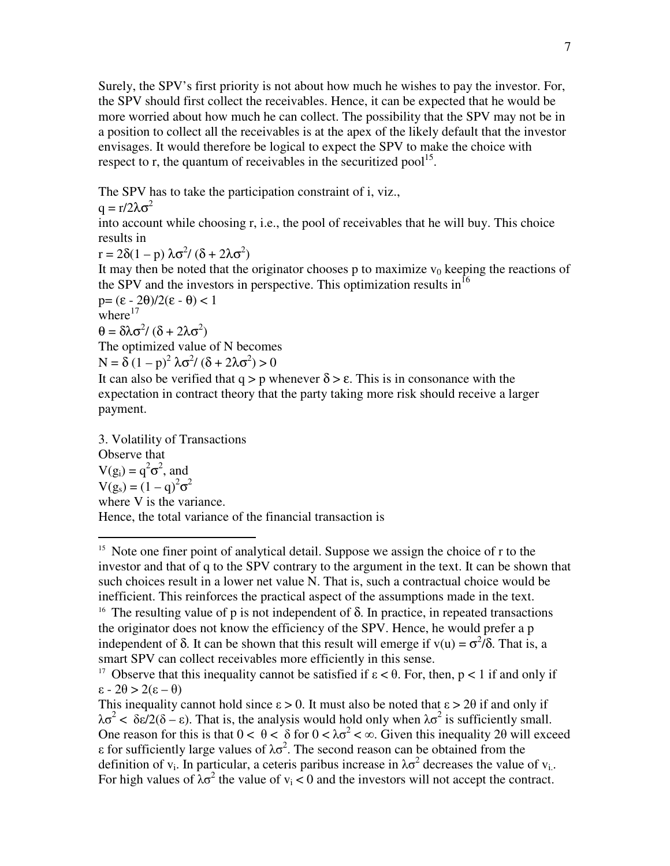Surely, the SPV's first priority is not about how much he wishes to pay the investor. For, the SPV should first collect the receivables. Hence, it can be expected that he would be more worried about how much he can collect. The possibility that the SPV may not be in a position to collect all the receivables is at the apex of the likely default that the investor envisages. It would therefore be logical to expect the SPV to make the choice with respect to r, the quantum of receivables in the securitized pool<sup>15</sup>.

The SPV has to take the participation constraint of i, viz.,

 $q = r/2λσ<sup>2</sup>$ 

 $\overline{a}$ 

into account while choosing r, i.e., the pool of receivables that he will buy. This choice results in

 $r = 2\delta(1-p)\lambda\sigma^2/(\delta + 2\lambda\sigma^2)$ 

It may then be noted that the originator chooses  $p$  to maximize  $v_0$  keeping the reactions of the SPV and the investors in perspective. This optimization results in<sup>16</sup>

p= (ε - 2θ)/2(ε - θ) < 1 where $17$ 

 $\theta = \delta \lambda \sigma^2 / (\delta + 2\lambda \sigma^2)$ 

The optimized value of N becomes

 $N = \delta (1-p)^2 \lambda \sigma^2 / (\delta + 2\lambda \sigma^2) > 0$ 

It can also be verified that  $q > p$  whenever  $\delta > \varepsilon$ . This is in consonance with the expectation in contract theory that the party taking more risk should receive a larger payment.

3. Volatility of Transactions Observe that  $V(g_i) = q^2 \sigma^2$ , and  $V(g_s) = (1 - q)^2 \sigma^2$ where V is the variance. Hence, the total variance of the financial transaction is

<sup>15</sup> Note one finer point of analytical detail. Suppose we assign the choice of r to the investor and that of q to the SPV contrary to the argument in the text. It can be shown that such choices result in a lower net value N. That is, such a contractual choice would be inefficient. This reinforces the practical aspect of the assumptions made in the text.

<sup>16</sup> The resulting value of p is not independent of  $\delta$ . In practice, in repeated transactions the originator does not know the efficiency of the SPV. Hence, he would prefer a p independent of  $\delta$ . It can be shown that this result will emerge if  $v(u) = \sigma^2/\delta$ . That is, a smart SPV can collect receivables more efficiently in this sense.

<sup>&</sup>lt;sup>17</sup> Observe that this inequality cannot be satisfied if  $\varepsilon < \theta$ . For, then,  $p < 1$  if and only if  $\varepsilon$  - 2 $\theta$  > 2( $\varepsilon$  –  $\theta$ )

This inequality cannot hold since  $\varepsilon > 0$ . It must also be noted that  $\varepsilon > 2\theta$  if and only if  $\lambda \sigma^2 < \delta \epsilon/2(\delta - \epsilon)$ . That is, the analysis would hold only when  $\lambda \sigma^2$  is sufficiently small. One reason for this is that  $0 < \theta < \delta$  for  $0 < \lambda \sigma^2 < \infty$ . Given this inequality 2 $\theta$  will exceed ε for sufficiently large values of  $\lambda \sigma^2$ . The second reason can be obtained from the definition of  $v_i$ . In particular, a ceteris paribus increase in  $\lambda \sigma^2$  decreases the value of  $v_i$ . For high values of  $\lambda \sigma^2$  the value of  $v_i < 0$  and the investors will not accept the contract.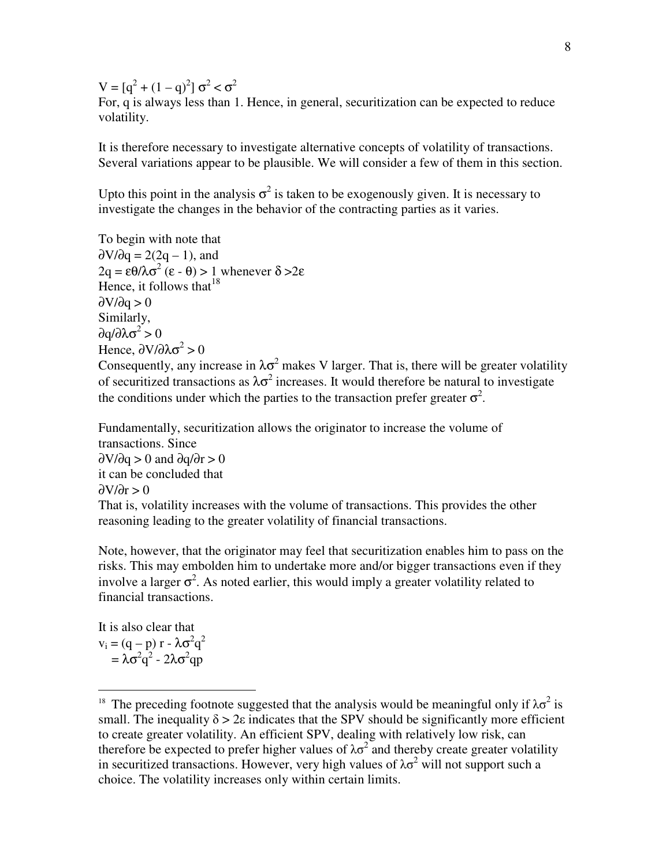V = [q<sup>2</sup> + (1 – q)<sup>2</sup>]  $\sigma^2 < \sigma^2$ 

For, q is always less than 1. Hence, in general, securitization can be expected to reduce volatility.

It is therefore necessary to investigate alternative concepts of volatility of transactions. Several variations appear to be plausible. We will consider a few of them in this section.

Upto this point in the analysis  $\sigma^2$  is taken to be exogenously given. It is necessary to investigate the changes in the behavior of the contracting parties as it varies.

To begin with note that  $\partial V/\partial q = 2(2q - 1)$ , and  $2q = \epsilon \theta / \lambda \sigma^2 (\epsilon - \theta) > 1$  whenever  $\delta > 2\epsilon$ Hence, it follows that  $18$  $\partial V/\partial q > 0$ Similarly,  $\partial$ q/ $\partial \lambda \sigma^2 > 0$ Hence,  $\frac{\partial V}{\partial \lambda} \sigma^2 > 0$ 

Consequently, any increase in  $\lambda \sigma^2$  makes V larger. That is, there will be greater volatility of securitized transactions as  $\lambda \sigma^2$  increases. It would therefore be natural to investigate the conditions under which the parties to the transaction prefer greater  $\sigma^2$ .

Fundamentally, securitization allows the originator to increase the volume of transactions. Since  $\frac{\partial V}{\partial q} > 0$  and  $\frac{\partial q}{\partial r} > 0$ it can be concluded that  $\partial V/\partial r > 0$ 

That is, volatility increases with the volume of transactions. This provides the other reasoning leading to the greater volatility of financial transactions.

Note, however, that the originator may feel that securitization enables him to pass on the risks. This may embolden him to undertake more and/or bigger transactions even if they involve a larger  $\sigma^2$ . As noted earlier, this would imply a greater volatility related to financial transactions.

It is also clear that  $v_i = (q - p) r - \lambda \sigma^2 q^2$  $= \lambda \sigma^2 q^2 - 2\lambda \sigma^2 qp$ 

 $\overline{a}$ 

<sup>&</sup>lt;sup>18</sup> The preceding footnote suggested that the analysis would be meaningful only if  $\lambda \sigma^2$  is small. The inequality  $\delta > 2\varepsilon$  indicates that the SPV should be significantly more efficient to create greater volatility. An efficient SPV, dealing with relatively low risk, can therefore be expected to prefer higher values of  $\lambda \sigma^2$  and thereby create greater volatility in securitized transactions. However, very high values of  $\lambda \sigma^2$  will not support such a choice. The volatility increases only within certain limits.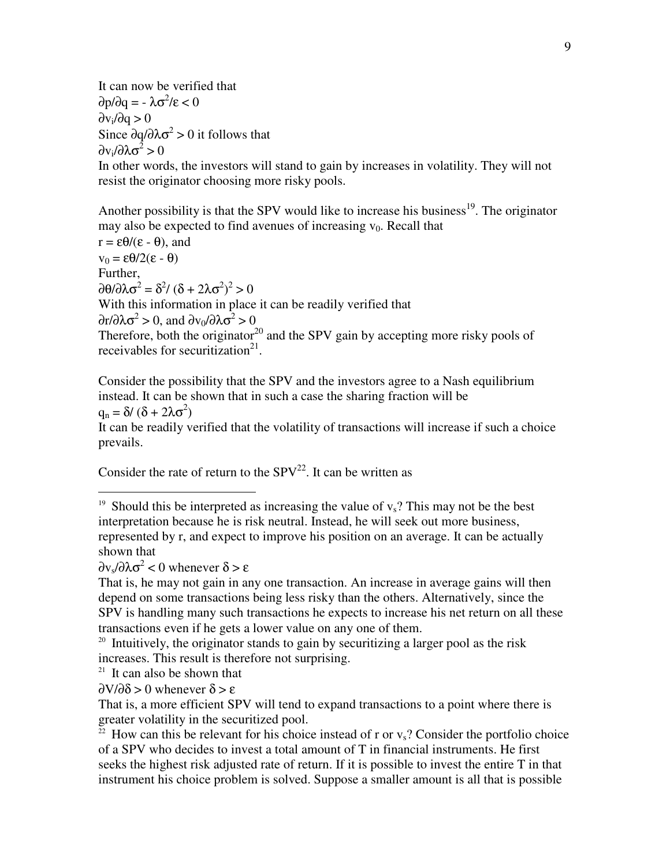It can now be verified that  $\partial p / \partial q = -\lambda \sigma^2 / \epsilon < 0$  $\partial v_i/\partial q > 0$ Since  $\partial q / \partial \lambda \sigma^2 > 0$  it follows that  $\partial v_i/\partial \lambda \sigma^2 > 0$ In other words, the investors will stand to gain by increases in volatility. They will not resist the originator choosing more risky pools.

Another possibility is that the SPV would like to increase his business<sup>19</sup>. The originator may also be expected to find avenues of increasing  $v_0$ . Recall that

 $r = \epsilon \theta/(\epsilon - \theta)$ , and  $v_0 = \epsilon \theta / 2(\epsilon - \theta)$ Further,  $\frac{\partial \theta}{\partial \lambda \sigma^2} = \delta^2 / (\delta + 2\lambda \sigma^2)^2 > 0$ With this information in place it can be readily verified that  $\frac{\partial r}{\partial \lambda} \sigma^2 > 0$ , and  $\frac{\partial v_0}{\partial \lambda} \sigma^2 > 0$ Therefore, both the originator $^{20}$  and the SPV gain by accepting more risky pools of receivables for securitization $2<sup>1</sup>$ .

Consider the possibility that the SPV and the investors agree to a Nash equilibrium instead. It can be shown that in such a case the sharing fraction will be

 $q_n = \delta / (\delta + 2\lambda \sigma^2)$ 

 $\overline{a}$ 

It can be readily verified that the volatility of transactions will increase if such a choice prevails.

Consider the rate of return to the  $SPV<sup>22</sup>$ . It can be written as

 $\partial v_s/\partial \lambda \sigma^2$  < 0 whenever  $\delta > \varepsilon$ 

That is, he may not gain in any one transaction. An increase in average gains will then depend on some transactions being less risky than the others. Alternatively, since the SPV is handling many such transactions he expects to increase his net return on all these transactions even if he gets a lower value on any one of them.

 $20$  Intuitively, the originator stands to gain by securitizing a larger pool as the risk increases. This result is therefore not surprising.

 $21$  It can also be shown that

∂V/∂δ > 0 whenever δ > ε

That is, a more efficient SPV will tend to expand transactions to a point where there is greater volatility in the securitized pool.

 $22$  How can this be relevant for his choice instead of r or  $v_s$ ? Consider the portfolio choice of a SPV who decides to invest a total amount of T in financial instruments. He first seeks the highest risk adjusted rate of return. If it is possible to invest the entire T in that instrument his choice problem is solved. Suppose a smaller amount is all that is possible

<sup>&</sup>lt;sup>19</sup> Should this be interpreted as increasing the value of  $v_s$ ? This may not be the best interpretation because he is risk neutral. Instead, he will seek out more business, represented by r, and expect to improve his position on an average. It can be actually shown that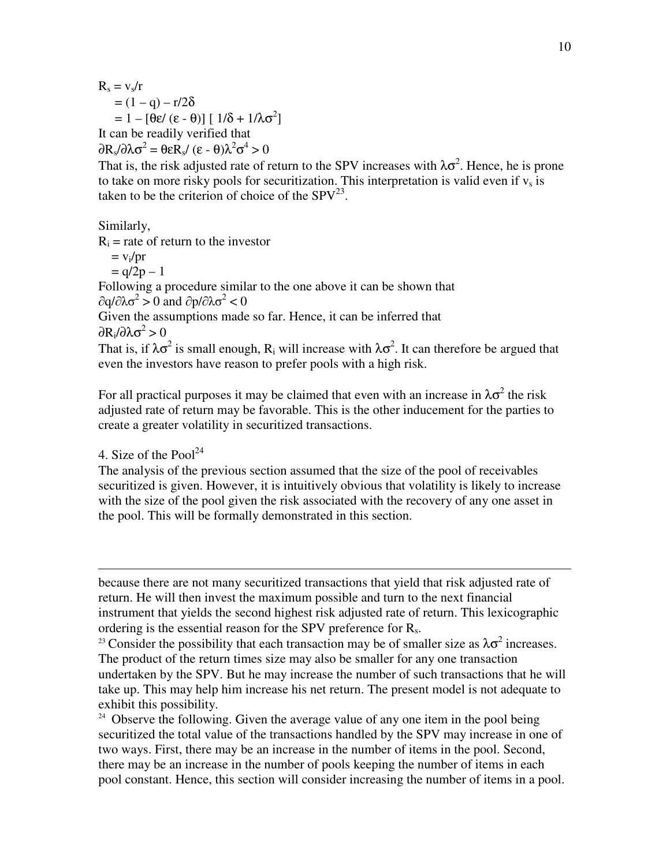$R_s = v_s/r$  $= (1 - q) - r/2\delta$ = 1 –  $[\theta \varepsilon/(\varepsilon - \theta)] [1/\delta + 1/\lambda \sigma^2]$ It can be readily verified that  $\frac{\partial R_s}{\partial \lambda \sigma^2} = \frac{\partial \varepsilon R_s}{\partial \varepsilon^4}$  (ε - θ) $\lambda^2 \sigma^4 > 0$ 

That is, the risk adjusted rate of return to the SPV increases with  $\lambda \sigma^2$ . Hence, he is prone to take on more risky pools for securitization. This interpretation is valid even if  $v<sub>s</sub>$  is taken to be the criterion of choice of the  $SPV^{23}$ .

Similarly,

 $R_i$  = rate of return to the investor

 $= v_i/pr$ 

 $= q/2p - 1$ 

Following a procedure similar to the one above it can be shown that  $\partial$ q/∂λσ<sup>2</sup> > 0 and  $\partial$ p/∂λσ<sup>2</sup> < 0

Given the assumptions made so far. Hence, it can be inferred that  $\partial R_i/\partial \lambda \sigma^2 > 0$ 

That is, if  $\lambda \sigma^2$  is small enough, R<sub>i</sub> will increase with  $\lambda \sigma^2$ . It can therefore be argued that even the investors have reason to prefer pools with a high risk.

For all practical purposes it may be claimed that even with an increase in  $\lambda \sigma^2$  the risk adjusted rate of return may be favorable. This is the other inducement for the parties to create a greater volatility in securitized transactions.

## 4. Size of the Pool<sup>24</sup>

 $\overline{a}$ 

The analysis of the previous section assumed that the size of the pool of receivables securitized is given. However, it is intuitively obvious that volatility is likely to increase with the size of the pool given the risk associated with the recovery of any one asset in the pool. This will be formally demonstrated in this section.

because there are not many securitized transactions that yield that risk adjusted rate of return. He will then invest the maximum possible and turn to the next financial instrument that yields the second highest risk adjusted rate of return. This lexicographic ordering is the essential reason for the SPV preference for  $R_s$ .

<sup>23</sup> Consider the possibility that each transaction may be of smaller size as  $\lambda \sigma^2$  increases. The product of the return times size may also be smaller for any one transaction undertaken by the SPV. But he may increase the number of such transactions that he will take up. This may help him increase his net return. The present model is not adequate to exhibit this possibility.

 $24$  Observe the following. Given the average value of any one item in the pool being securitized the total value of the transactions handled by the SPV may increase in one of two ways. First, there may be an increase in the number of items in the pool. Second, there may be an increase in the number of pools keeping the number of items in each pool constant. Hence, this section will consider increasing the number of items in a pool.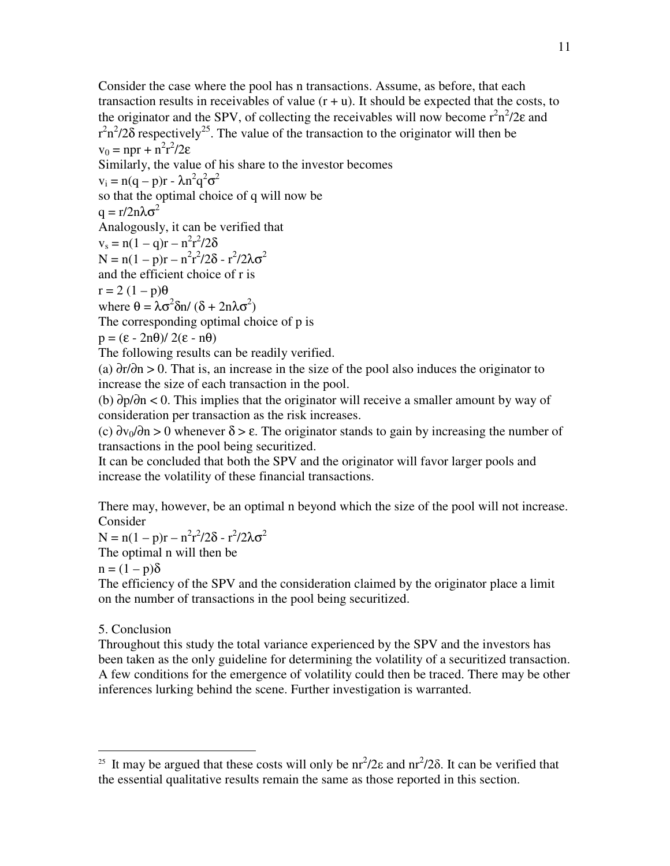Consider the case where the pool has n transactions. Assume, as before, that each transaction results in receivables of value  $(r + u)$ . It should be expected that the costs, to the originator and the SPV, of collecting the receivables will now become  $r^2n^2/2\varepsilon$  and  $r^2n^2/2\delta$  respectively<sup>25</sup>. The value of the transaction to the originator will then be  $v_0 = npr + n^2r^2/2\varepsilon$ Similarly, the value of his share to the investor becomes  $v_i = n(q - p)r - \lambda n^2 q^2 \sigma^2$ so that the optimal choice of q will now be  $q = r/2n\lambda\sigma^2$ Analogously, it can be verified that  $v_s = n(1 - q)r - n^2r^2/2\delta$ N = n(1 – p)r – n<sup>2</sup>r<sup>2</sup>/2δ - r<sup>2</sup>/2λσ<sup>2</sup> and the efficient choice of r is  $r = 2(1-p)\theta$ where  $\theta = \lambda \sigma^2 \delta n / (\delta + 2n\lambda \sigma^2)$ The corresponding optimal choice of p is  $p = (\varepsilon - 2n\theta)/2(\varepsilon - n\theta)$ The following results can be readily verified. (a) ∂r/∂n > 0. That is, an increase in the size of the pool also induces the originator to

increase the size of each transaction in the pool.

(b) ∂p/∂n < 0. This implies that the originator will receive a smaller amount by way of consideration per transaction as the risk increases.

(c)  $\frac{\partial v_0}{\partial n}$  > 0 whenever  $\delta$  > ε. The originator stands to gain by increasing the number of transactions in the pool being securitized.

It can be concluded that both the SPV and the originator will favor larger pools and increase the volatility of these financial transactions.

There may, however, be an optimal n beyond which the size of the pool will not increase. Consider

$$
N = n(1 - p)r - n^2r^2/2\delta - r^2/2\lambda\sigma^2
$$

The optimal n will then be

 $n = (1 - p)\delta$ 

The efficiency of the SPV and the consideration claimed by the originator place a limit on the number of transactions in the pool being securitized.

## 5. Conclusion

 $\overline{a}$ 

Throughout this study the total variance experienced by the SPV and the investors has been taken as the only guideline for determining the volatility of a securitized transaction. A few conditions for the emergence of volatility could then be traced. There may be other inferences lurking behind the scene. Further investigation is warranted.

<sup>&</sup>lt;sup>25</sup> It may be argued that these costs will only be  $\text{nr}^2/2\epsilon$  and  $\text{nr}^2/2\delta$ . It can be verified that the essential qualitative results remain the same as those reported in this section.